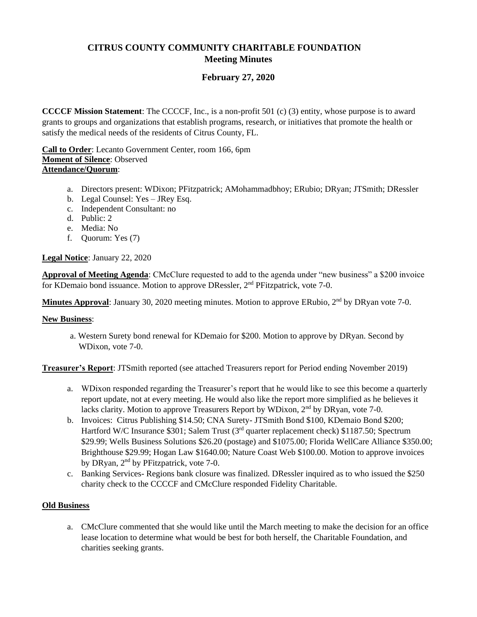# **CITRUS COUNTY COMMUNITY CHARITABLE FOUNDATION Meeting Minutes**

## **February 27, 2020**

**CCCCF Mission Statement**: The CCCCF, Inc., is a non-profit 501 (c) (3) entity, whose purpose is to award grants to groups and organizations that establish programs, research, or initiatives that promote the health or satisfy the medical needs of the residents of Citrus County, FL.

**Call to Order**: Lecanto Government Center, room 166, 6pm **Moment of Silence**: Observed **Attendance/Quorum**:

- a. Directors present: WDixon; PFitzpatrick; AMohammadbhoy; ERubio; DRyan; JTSmith; DRessler
- b. Legal Counsel: Yes JRey Esq.
- c. Independent Consultant: no
- d. Public: 2
- e. Media: No
- f. Quorum: Yes (7)

### **Legal Notice**: January 22, 2020

**Approval of Meeting Agenda**: CMcClure requested to add to the agenda under "new business" a \$200 invoice for KDemaio bond issuance. Motion to approve DRessler, 2<sup>nd</sup> PFitzpatrick, vote 7-0.

**Minutes Approval**: January 30, 2020 meeting minutes. Motion to approve ERubio, 2<sup>nd</sup> by DRyan vote 7-0.

#### **New Business**:

a. Western Surety bond renewal for KDemaio for \$200. Motion to approve by DRyan. Second by WDixon, vote 7-0.

**Treasurer's Report**: JTSmith reported (see attached Treasurers report for Period ending November 2019)

- a. WDixon responded regarding the Treasurer's report that he would like to see this become a quarterly report update, not at every meeting. He would also like the report more simplified as he believes it lacks clarity. Motion to approve Treasurers Report by WDixon, 2nd by DRyan, vote 7-0.
- b. Invoices: Citrus Publishing \$14.50; CNA Surety- JTSmith Bond \$100, KDemaio Bond \$200; Hartford W/C Insurance \$301; Salem Trust (3<sup>rd</sup> quarter replacement check) \$1187.50; Spectrum \$29.99; Wells Business Solutions \$26.20 (postage) and \$1075.00; Florida WellCare Alliance \$350.00; Brighthouse \$29.99; Hogan Law \$1640.00; Nature Coast Web \$100.00. Motion to approve invoices by DRyan, 2<sup>nd</sup> by PFitzpatrick, vote 7-0.
- c. Banking Services- Regions bank closure was finalized. DRessler inquired as to who issued the \$250 charity check to the CCCCF and CMcClure responded Fidelity Charitable.

#### **Old Business**

a. CMcClure commented that she would like until the March meeting to make the decision for an office lease location to determine what would be best for both herself, the Charitable Foundation, and charities seeking grants.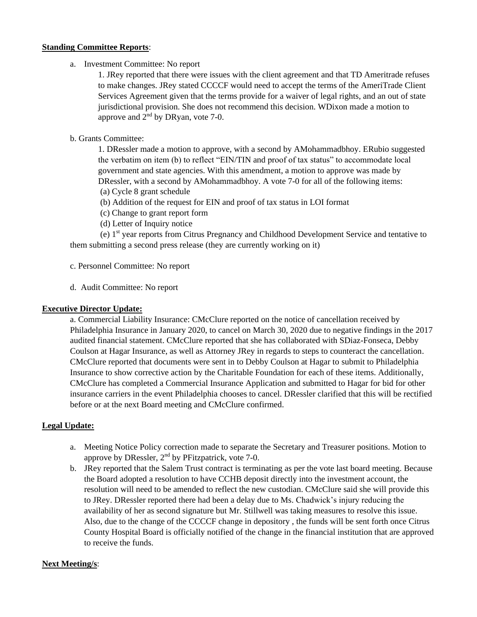#### **Standing Committee Reports**:

a. Investment Committee: No report

1. JRey reported that there were issues with the client agreement and that TD Ameritrade refuses to make changes. JRey stated CCCCF would need to accept the terms of the AmeriTrade Client Services Agreement given that the terms provide for a waiver of legal rights, and an out of state jurisdictional provision. She does not recommend this decision. WDixon made a motion to approve and  $2<sup>nd</sup>$  by DRyan, vote 7-0.

#### b. Grants Committee:

1. DRessler made a motion to approve, with a second by AMohammadbhoy. ERubio suggested the verbatim on item (b) to reflect "EIN/TIN and proof of tax status" to accommodate local government and state agencies. With this amendment, a motion to approve was made by DRessler, with a second by AMohammadbhoy. A vote 7-0 for all of the following items: (a) Cycle 8 grant schedule

- (b) Addition of the request for EIN and proof of tax status in LOI format
- (c) Change to grant report form
- (d) Letter of Inquiry notice

(e) 1<sup>st</sup> year reports from Citrus Pregnancy and Childhood Development Service and tentative to them submitting a second press release (they are currently working on it)

- c. Personnel Committee: No report
- d. Audit Committee: No report

#### **Executive Director Update:**

a. Commercial Liability Insurance: CMcClure reported on the notice of cancellation received by Philadelphia Insurance in January 2020, to cancel on March 30, 2020 due to negative findings in the 2017 audited financial statement. CMcClure reported that she has collaborated with SDiaz-Fonseca, Debby Coulson at Hagar Insurance, as well as Attorney JRey in regards to steps to counteract the cancellation. CMcClure reported that documents were sent in to Debby Coulson at Hagar to submit to Philadelphia Insurance to show corrective action by the Charitable Foundation for each of these items. Additionally, CMcClure has completed a Commercial Insurance Application and submitted to Hagar for bid for other insurance carriers in the event Philadelphia chooses to cancel. DRessler clarified that this will be rectified before or at the next Board meeting and CMcClure confirmed.

#### **Legal Update:**

- a. Meeting Notice Policy correction made to separate the Secretary and Treasurer positions. Motion to approve by DRessler,  $2<sup>nd</sup>$  by PFitzpatrick, vote 7-0.
- b. JRey reported that the Salem Trust contract is terminating as per the vote last board meeting. Because the Board adopted a resolution to have CCHB deposit directly into the investment account, the resolution will need to be amended to reflect the new custodian. CMcClure said she will provide this to JRey. DRessler reported there had been a delay due to Ms. Chadwick's injury reducing the availability of her as second signature but Mr. Stillwell was taking measures to resolve this issue. Also, due to the change of the CCCCF change in depository , the funds will be sent forth once Citrus County Hospital Board is officially notified of the change in the financial institution that are approved to receive the funds.

#### **Next Meeting/s**: